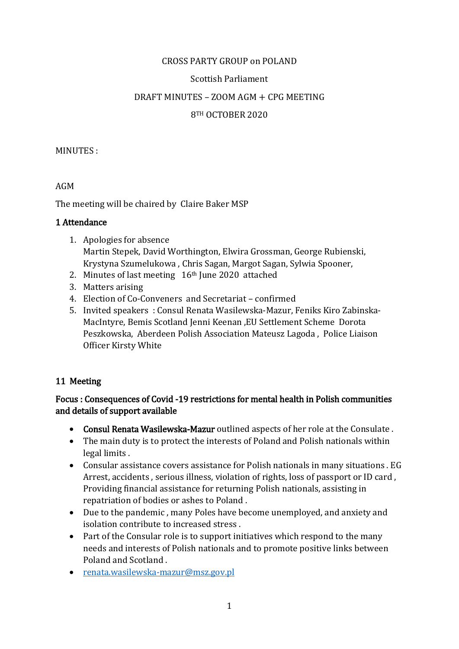## CROSS PARTY GROUP on POLAND

### Scottish Parliament

### DRAFT MINUTES – ZOOM AGM + CPG MEETING

### 8TH OCTOBER 2020

#### MINUTES :

### AGM

The meeting will be chaired by Claire Baker MSP

### 1 Attendance

- 1. Apologies for absence Martin Stepek, David Worthington, Elwira Grossman, George Rubienski, Krystyna Szumelukowa , Chris Sagan, Margot Sagan, Sylwia Spooner,
- 2. Minutes of last meeting 16<sup>th</sup> June 2020 attached
- 3. Matters arising
- 4. Election of Co-Conveners and Secretariat confirmed
- 5. Invited speakers : Consul Renata Wasilewska-Mazur, Feniks Kiro Zabinska-MacIntyre, Bemis Scotland Jenni Keenan ,EU Settlement Scheme Dorota Peszkowska, Aberdeen Polish Association Mateusz Lagoda , Police Liaison Officer Kirsty White

## 11 Meeting

## Focus : Consequences of Covid -19 restrictions for mental health in Polish communities and details of support available

- Consul Renata Wasilewska-Mazur outlined aspects of her role at the Consulate .
- The main duty is to protect the interests of Poland and Polish nationals within legal limits .
- Consular assistance covers assistance for Polish nationals in many situations . EG Arrest, accidents , serious illness, violation of rights, loss of passport or ID card , Providing financial assistance for returning Polish nationals, assisting in repatriation of bodies or ashes to Poland .
- Due to the pandemic , many Poles have become unemployed, and anxiety and isolation contribute to increased stress .
- Part of the Consular role is to support initiatives which respond to the many needs and interests of Polish nationals and to promote positive links between Poland and Scotland .
- [renata.wasilewska-mazur@msz.gov.pl](mailto:renata.wasilewska-mazur@msz.gov.pl)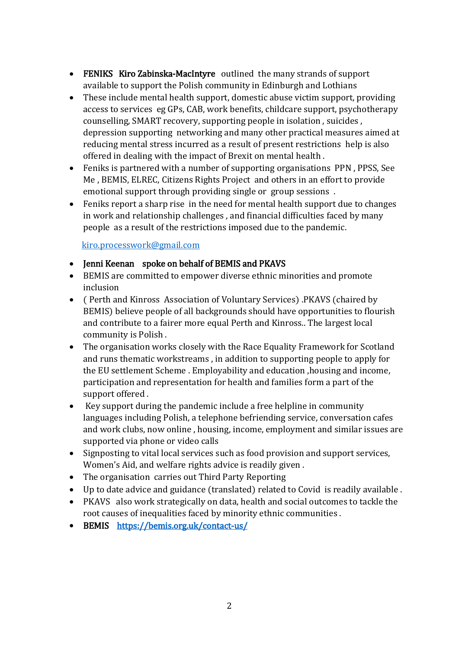- FENIKS Kiro Zabinska-MacIntyre outlined the many strands of support available to support the Polish community in Edinburgh and Lothians
- These include mental health support, domestic abuse victim support, providing access to services eg GPs, CAB, work benefits, childcare support, psychotherapy counselling, SMART recovery, supporting people in isolation , suicides , depression supporting networking and many other practical measures aimed at reducing mental stress incurred as a result of present restrictions help is also offered in dealing with the impact of Brexit on mental health .
- Feniks is partnered with a number of supporting organisations PPN , PPSS, See Me , BEMIS, ELREC, Citizens Rights Project and others in an effort to provide emotional support through providing single or group sessions .
- Feniks report a sharp rise in the need for mental health support due to changes in work and relationship challenges , and financial difficulties faced by many people as a result of the restrictions imposed due to the pandemic.

[kiro.processwork@gmail.com](mailto:kiro.processwork@gmail.com)

## • Jenni Keenan spoke on behalf of BEMIS and PKAVS

- BEMIS are committed to empower diverse ethnic minorities and promote inclusion
- ( Perth and Kinross Association of Voluntary Services) .PKAVS (chaired by BEMIS) believe people of all backgrounds should have opportunities to flourish and contribute to a fairer more equal Perth and Kinross.. The largest local community is Polish .
- The organisation works closely with the Race Equality Framework for Scotland and runs thematic workstreams , in addition to supporting people to apply for the EU settlement Scheme . Employability and education ,housing and income, participation and representation for health and families form a part of the support offered .
- Key support during the pandemic include a free helpline in community languages including Polish, a telephone befriending service, conversation cafes and work clubs, now online , housing, income, employment and similar issues are supported via phone or video calls
- Signposting to vital local services such as food provision and support services, Women's Aid, and welfare rights advice is readily given .
- The organisation carries out Third Party Reporting
- Up to date advice and guidance (translated) related to Covid is readily available .
- PKAVS also work strategically on data, health and social outcomes to tackle the root causes of inequalities faced by minority ethnic communities .
- BEMIS <https://bemis.org.uk/contact-us/>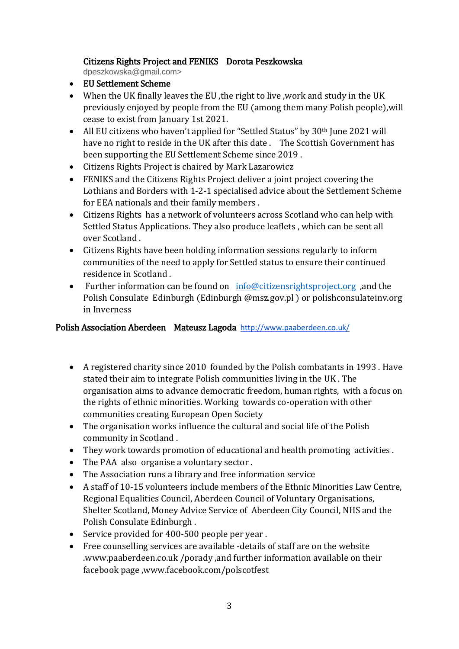## Citizens Rights Project and FENIKS Dorota Peszkowska

dpeszkowska@gmail.com>

- EU Settlement Scheme
- When the UK finally leaves the EU, the right to live, work and study in the UK previously enjoyed by people from the EU (among them many Polish people),will cease to exist from January 1st 2021.
- All EU citizens who haven't applied for "Settled Status" by 30<sup>th</sup> June 2021 will have no right to reside in the UK after this date . The Scottish Government has been supporting the EU Settlement Scheme since 2019 .
- Citizens Rights Project is chaired by Mark Lazarowicz
- FENIKS and the Citizens Rights Project deliver a joint project covering the Lothians and Borders with 1-2-1 specialised advice about the Settlement Scheme for EEA nationals and their family members .
- Citizens Rights has a network of volunteers across Scotland who can help with Settled Status Applications. They also produce leaflets , which can be sent all over Scotland .
- Citizens Rights have been holding information sessions regularly to inform communities of the need to apply for Settled status to ensure their continued residence in Scotland .
- Further information can be found on [info@citizensrightsproject.org](mailto:info@citizensrightsproject.org) ,and the Polish Consulate Edinburgh (Edinburgh @msz.gov.pl ) or polishconsulateinv.org in Inverness

# Polish Association Aberdeen Mateusz Lagoda http://www.paaberdeen.co.uk/

- A registered charity since 2010 founded by the Polish combatants in 1993 . Have stated their aim to integrate Polish communities living in the UK . The organisation aims to advance democratic freedom, human rights, with a focus on the rights of ethnic minorities. Working towards co-operation with other communities creating European Open Society
- The organisation works influence the cultural and social life of the Polish community in Scotland .
- They work towards promotion of educational and health promoting activities .
- The PAA also organise a voluntary sector .
- The Association runs a library and free information service
- A staff of 10-15 volunteers include members of the Ethnic Minorities Law Centre, Regional Equalities Council, Aberdeen Council of Voluntary Organisations, Shelter Scotland, Money Advice Service of Aberdeen City Council, NHS and the Polish Consulate Edinburgh .
- Service provided for 400-500 people per year .
- Free counselling services are available -details of staff are on the website .www.paaberdeen.co.uk /porady ,and further information available on their facebook page ,www.facebook.com/polscotfest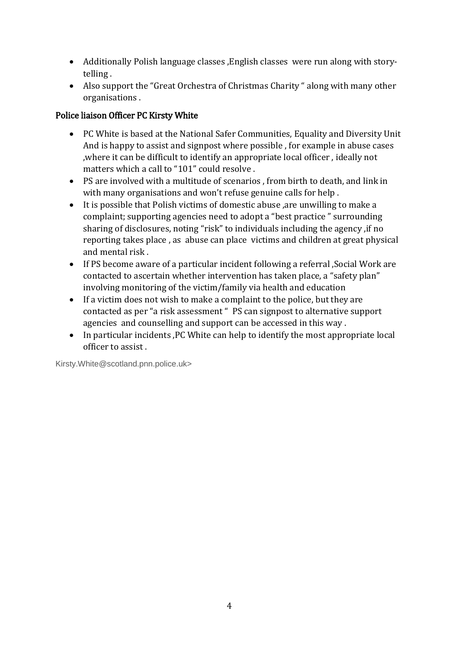- Additionally Polish language classes ,English classes were run along with storytelling .
- Also support the "Great Orchestra of Christmas Charity " along with many other organisations .

# Police liaison Officer PC Kirsty White

- PC White is based at the National Safer Communities, Equality and Diversity Unit And is happy to assist and signpost where possible , for example in abuse cases ,where it can be difficult to identify an appropriate local officer , ideally not matters which a call to "101" could resolve .
- PS are involved with a multitude of scenarios , from birth to death, and link in with many organisations and won't refuse genuine calls for help .
- It is possible that Polish victims of domestic abuse ,are unwilling to make a complaint; supporting agencies need to adopt a "best practice " surrounding sharing of disclosures, noting "risk" to individuals including the agency ,if no reporting takes place , as abuse can place victims and children at great physical and mental risk .
- If PS become aware of a particular incident following a referral ,Social Work are contacted to ascertain whether intervention has taken place, a "safety plan" involving monitoring of the victim/family via health and education
- If a victim does not wish to make a complaint to the police, but they are contacted as per "a risk assessment " PS can signpost to alternative support agencies and counselling and support can be accessed in this way .
- In particular incidents ,PC White can help to identify the most appropriate local officer to assist .

Kirsty.White@scotland.pnn.police.uk>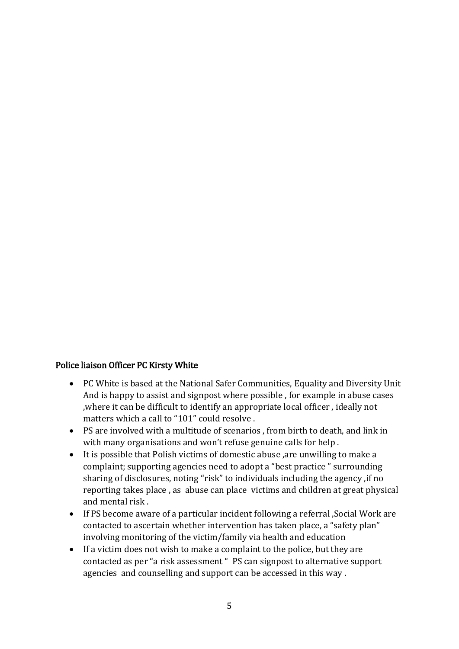#### Police liaison Officer PC Kirsty White

- PC White is based at the National Safer Communities, Equality and Diversity Unit And is happy to assist and signpost where possible , for example in abuse cases ,where it can be difficult to identify an appropriate local officer , ideally not matters which a call to "101" could resolve .
- PS are involved with a multitude of scenarios , from birth to death, and link in with many organisations and won't refuse genuine calls for help .
- It is possible that Polish victims of domestic abuse ,are unwilling to make a complaint; supporting agencies need to adopt a "best practice " surrounding sharing of disclosures, noting "risk" to individuals including the agency ,if no reporting takes place , as abuse can place victims and children at great physical and mental risk .
- If PS become aware of a particular incident following a referral ,Social Work are contacted to ascertain whether intervention has taken place, a "safety plan" involving monitoring of the victim/family via health and education
- If a victim does not wish to make a complaint to the police, but they are contacted as per "a risk assessment " PS can signpost to alternative support agencies and counselling and support can be accessed in this way .